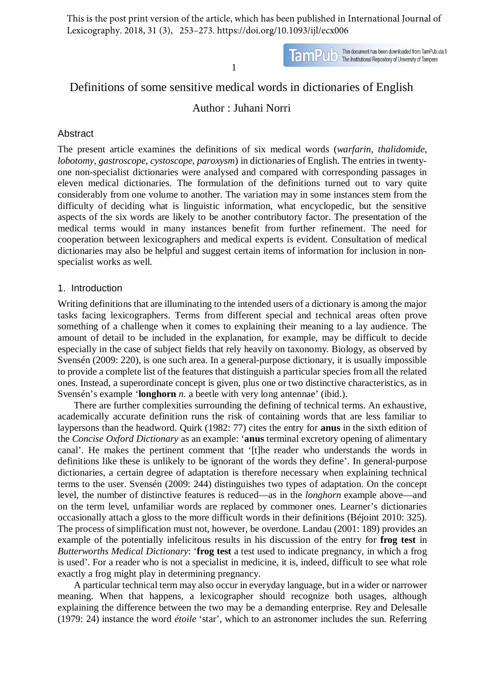This is the post print version of the article, which has been published in International Journal of Lexicography. 2018, 31 (3), 253–273. https://doi.org/10.1093/ijl/ecx006

TamPulo This document has been downloaded from TamPub.uta.fi

1

# Definitions of some sensitive medical words in dictionaries of English

## Author : Juhani Norri

## Abstract

The present article examines the definitions of six medical words (*warfarin*, *thalidomide*, *lobotomy*, *gastroscope*, *cystoscope*, *paroxysm*) in dictionaries of English. The entries in twentyone non-specialist dictionaries were analysed and compared with corresponding passages in eleven medical dictionaries. The formulation of the definitions turned out to vary quite considerably from one volume to another. The variation may in some instances stem from the difficulty of deciding what is linguistic information, what encyclopedic, but the sensitive aspects of the six words are likely to be another contributory factor. The presentation of the medical terms would in many instances benefit from further refinement. The need for cooperation between lexicographers and medical experts is evident. Consultation of medical dictionaries may also be helpful and suggest certain items of information for inclusion in nonspecialist works as well.

## 1. Introduction

Writing definitions that are illuminating to the intended users of a dictionary is among the major tasks facing lexicographers. Terms from different special and technical areas often prove something of a challenge when it comes to explaining their meaning to a lay audience. The amount of detail to be included in the explanation, for example, may be difficult to decide especially in the case of subject fields that rely heavily on taxonomy. Biology, as observed by Svensén (2009: 220), is one such area. In a general-purpose dictionary, it is usually impossible to provide a complete list of the features that distinguish a particular species from all the related ones. Instead, a superordinate concept is given, plus one or two distinctive characteristics, as in Svensén's example '**longhorn** *n*. a beetle with very long antennae' (ibid.).

There are further complexities surrounding the defining of technical terms. An exhaustive, academically accurate definition runs the risk of containing words that are less familiar to laypersons than the headword. Quirk (1982: 77) cites the entry for **anus** in the sixth edition of the *Concise Oxford Dictionary* as an example: '**anus** terminal excretory opening of alimentary canal'. He makes the pertinent comment that '[t]he reader who understands the words in definitions like these is unlikely to be ignorant of the words they define'. In general-purpose dictionaries, a certain degree of adaptation is therefore necessary when explaining technical terms to the user. Svensén (2009: 244) distinguishes two types of adaptation. On the concept level, the number of distinctive features is reduced—as in the *longhorn* example above—and on the term level, unfamiliar words are replaced by commoner ones. Learner's dictionaries occasionally attach a gloss to the more difficult words in their definitions (Béjoint 2010: 325). The process of simplification must not, however, be overdone. Landau (2001: 189) provides an example of the potentially infelicitous results in his discussion of the entry for **frog test** in *Butterworths Medical Dictionary*: '**frog test** a test used to indicate pregnancy, in which a frog is used'. For a reader who is not a specialist in medicine, it is, indeed, difficult to see what role exactly a frog might play in determining pregnancy.

A particular technical term may also occur in everyday language, but in a wider or narrower meaning. When that happens, a lexicographer should recognize both usages, although explaining the difference between the two may be a demanding enterprise. Rey and Delesalle (1979: 24) instance the word *étoile* 'star', which to an astronomer includes the sun. Referring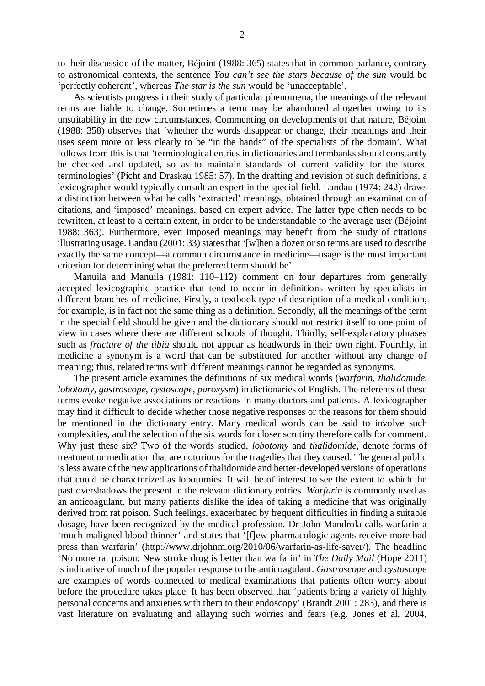to their discussion of the matter, Béjoint (1988: 365) states that in common parlance, contrary to astronomical contexts, the sentence *You can't see the stars because of the sun* would be 'perfectly coherent', whereas *The star is the sun* would be 'unacceptable'.

As scientists progress in their study of particular phenomena, the meanings of the relevant terms are liable to change. Sometimes a term may be abandoned altogether owing to its unsuitability in the new circumstances. Commenting on developments of that nature, Béjoint (1988: 358) observes that 'whether the words disappear or change, their meanings and their uses seem more or less clearly to be "in the hands" of the specialists of the domain'. What follows from this is that 'terminological entries in dictionaries and termbanks should constantly be checked and updated, so as to maintain standards of current validity for the stored terminologies' (Picht and Draskau 1985: 57). In the drafting and revision of such definitions, a lexicographer would typically consult an expert in the special field. Landau (1974: 242) draws a distinction between what he calls 'extracted' meanings, obtained through an examination of citations, and 'imposed' meanings, based on expert advice. The latter type often needs to be rewritten, at least to a certain extent, in order to be understandable to the average user (Béjoint 1988: 363). Furthermore, even imposed meanings may benefit from the study of citations illustrating usage. Landau (2001: 33) states that '[w]hen a dozen or so terms are used to describe exactly the same concept—a common circumstance in medicine—usage is the most important criterion for determining what the preferred term should be'.

Manuila and Manuila (1981: 110–112) comment on four departures from generally accepted lexicographic practice that tend to occur in definitions written by specialists in different branches of medicine. Firstly, a textbook type of description of a medical condition, for example, is in fact not the same thing as a definition. Secondly, all the meanings of the term in the special field should be given and the dictionary should not restrict itself to one point of view in cases where there are different schools of thought. Thirdly, self-explanatory phrases such as *fracture of the tibia* should not appear as headwords in their own right. Fourthly, in medicine a synonym is a word that can be substituted for another without any change of meaning; thus, related terms with different meanings cannot be regarded as synonyms.

The present article examines the definitions of six medical words (*warfarin*, *thalidomide*, *lobotomy*, *gastroscope*, *cystoscope*, *paroxysm*) in dictionaries of English. The referents of these terms evoke negative associations or reactions in many doctors and patients. A lexicographer may find it difficult to decide whether those negative responses or the reasons for them should be mentioned in the dictionary entry. Many medical words can be said to involve such complexities, and the selection of the six words for closer scrutiny therefore calls for comment. Why just these six? Two of the words studied, *lobotomy* and *thalidomide*, denote forms of treatment or medication that are notorious for the tragedies that they caused. The general public is less aware of the new applications of thalidomide and better-developed versions of operations that could be characterized as lobotomies. It will be of interest to see the extent to which the past overshadows the present in the relevant dictionary entries. *Warfarin* is commonly used as an anticoagulant, but many patients dislike the idea of taking a medicine that was originally derived from rat poison. Such feelings, exacerbated by frequent difficulties in finding a suitable dosage, have been recognized by the medical profession. Dr John Mandrola calls warfarin a 'much-maligned blood thinner' and states that '[f]ew pharmacologic agents receive more bad press than warfarin' (http://www.drjohnm.org/2010/06/warfarin-as-life-saver/). The headline 'No more rat poison: New stroke drug is better than warfarin' in *The Daily Mail* (Hope 2011) is indicative of much of the popular response to the anticoagulant. *Gastroscope* and *cystoscope* are examples of words connected to medical examinations that patients often worry about before the procedure takes place. It has been observed that 'patients bring a variety of highly personal concerns and anxieties with them to their endoscopy' (Brandt 2001: 283), and there is vast literature on evaluating and allaying such worries and fears (e.g. Jones et al. 2004,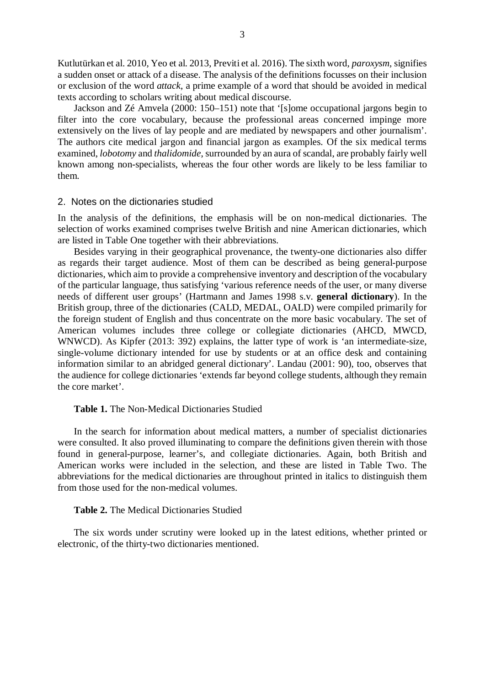Kutlutürkan et al. 2010, Yeo et al. 2013, Previti et al. 2016). The sixth word, *paroxysm*, signifies a sudden onset or attack of a disease. The analysis of the definitions focusses on their inclusion or exclusion of the word *attack*, a prime example of a word that should be avoided in medical texts according to scholars writing about medical discourse.

Jackson and Zé Amvela (2000: 150–151) note that '[s]ome occupational jargons begin to filter into the core vocabulary, because the professional areas concerned impinge more extensively on the lives of lay people and are mediated by newspapers and other journalism'. The authors cite medical jargon and financial jargon as examples. Of the six medical terms examined, *lobotomy* and *thalidomide*, surrounded by an aura of scandal, are probably fairly well known among non-specialists, whereas the four other words are likely to be less familiar to them.

## 2. Notes on the dictionaries studied

In the analysis of the definitions, the emphasis will be on non-medical dictionaries. The selection of works examined comprises twelve British and nine American dictionaries, which are listed in Table One together with their abbreviations.

Besides varying in their geographical provenance, the twenty-one dictionaries also differ as regards their target audience. Most of them can be described as being general-purpose dictionaries, which aim to provide a comprehensive inventory and description of the vocabulary of the particular language, thus satisfying 'various reference needs of the user, or many diverse needs of different user groups' (Hartmann and James 1998 s.v. **general dictionary**). In the British group, three of the dictionaries (CALD, MEDAL, OALD) were compiled primarily for the foreign student of English and thus concentrate on the more basic vocabulary. The set of American volumes includes three college or collegiate dictionaries (AHCD, MWCD, WNWCD). As Kipfer (2013: 392) explains, the latter type of work is 'an intermediate-size, single-volume dictionary intended for use by students or at an office desk and containing information similar to an abridged general dictionary'. Landau (2001: 90), too, observes that the audience for college dictionaries 'extends far beyond college students, although they remain the core market'.

#### **Table 1.** The Non-Medical Dictionaries Studied

In the search for information about medical matters, a number of specialist dictionaries were consulted. It also proved illuminating to compare the definitions given therein with those found in general-purpose, learner's, and collegiate dictionaries. Again, both British and American works were included in the selection, and these are listed in Table Two. The abbreviations for the medical dictionaries are throughout printed in italics to distinguish them from those used for the non-medical volumes.

#### **Table 2.** The Medical Dictionaries Studied

The six words under scrutiny were looked up in the latest editions, whether printed or electronic, of the thirty-two dictionaries mentioned.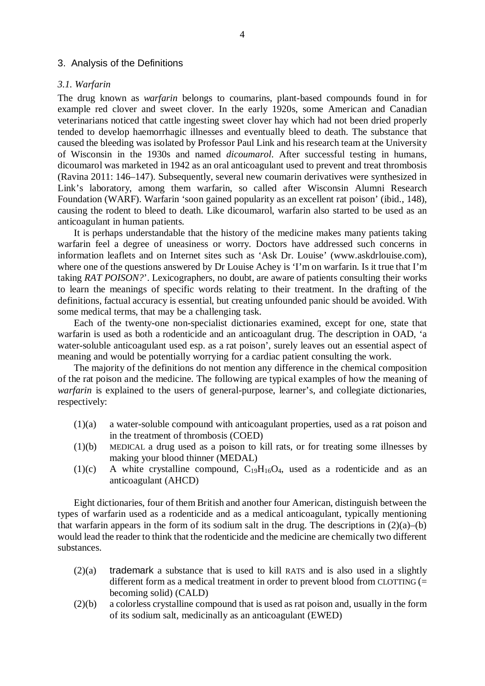## 3. Analysis of the Definitions

## *3.1. Warfarin*

The drug known as *warfarin* belongs to coumarins, plant-based compounds found in for example red clover and sweet clover. In the early 1920s, some American and Canadian veterinarians noticed that cattle ingesting sweet clover hay which had not been dried properly tended to develop haemorrhagic illnesses and eventually bleed to death. The substance that caused the bleeding was isolated by Professor Paul Link and his research team at the University of Wisconsin in the 1930s and named *dicoumarol*. After successful testing in humans, dicoumarol was marketed in 1942 as an oral anticoagulant used to prevent and treat thrombosis (Ravina 2011: 146–147). Subsequently, several new coumarin derivatives were synthesized in Link's laboratory, among them warfarin, so called after Wisconsin Alumni Research Foundation (WARF). Warfarin 'soon gained popularity as an excellent rat poison' (ibid., 148), causing the rodent to bleed to death. Like dicoumarol, warfarin also started to be used as an anticoagulant in human patients.

It is perhaps understandable that the history of the medicine makes many patients taking warfarin feel a degree of uneasiness or worry. Doctors have addressed such concerns in information leaflets and on Internet sites such as 'Ask Dr. Louise' (www.askdrlouise.com), where one of the questions answered by Dr Louise Achey is 'I'm on warfarin. Is it true that I'm taking *RAT POISON?*'. Lexicographers, no doubt, are aware of patients consulting their works to learn the meanings of specific words relating to their treatment. In the drafting of the definitions, factual accuracy is essential, but creating unfounded panic should be avoided. With some medical terms, that may be a challenging task.

Each of the twenty-one non-specialist dictionaries examined, except for one, state that warfarin is used as both a rodenticide and an anticoagulant drug. The description in OAD, 'a water-soluble anticoagulant used esp. as a rat poison', surely leaves out an essential aspect of meaning and would be potentially worrying for a cardiac patient consulting the work.

The majority of the definitions do not mention any difference in the chemical composition of the rat poison and the medicine. The following are typical examples of how the meaning of *warfarin* is explained to the users of general-purpose, learner's, and collegiate dictionaries, respectively:

- (1)(a) a water-soluble compound with anticoagulant properties, used as a rat poison and in the treatment of thrombosis (COED)
- (1)(b) MEDICAL a drug used as a poison to kill rats, or for treating some illnesses by making your blood thinner (MEDAL)
- (1)(c) A white crystalline compound,  $C_{19}H_{16}O_4$ , used as a rodenticide and as an anticoagulant (AHCD)

Eight dictionaries, four of them British and another four American, distinguish between the types of warfarin used as a rodenticide and as a medical anticoagulant, typically mentioning that warfarin appears in the form of its sodium salt in the drug. The descriptions in  $(2)(a)$ –(b) would lead the reader to think that the rodenticide and the medicine are chemically two different substances.

- (2)(a) trademark a substance that is used to kill RATS and is also used in a slightly different form as a medical treatment in order to prevent blood from CLOTTING (= becoming solid) (CALD)
- (2)(b) a colorless crystalline compound that is used as rat poison and, usually in the form of its sodium salt, medicinally as an anticoagulant (EWED)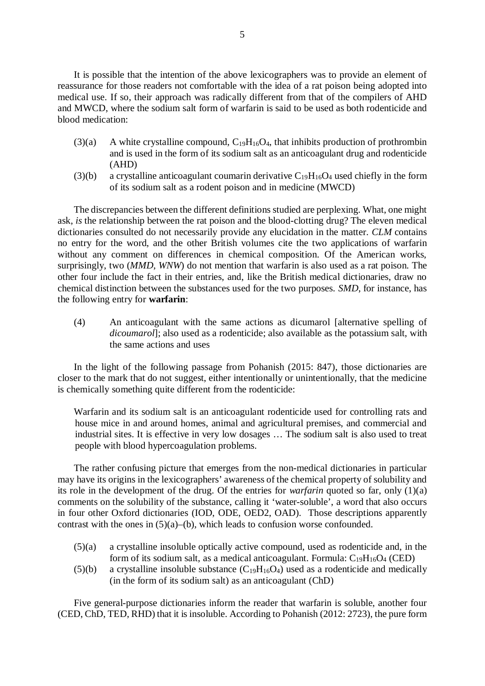It is possible that the intention of the above lexicographers was to provide an element of reassurance for those readers not comfortable with the idea of a rat poison being adopted into medical use. If so, their approach was radically different from that of the compilers of AHD and MWCD, where the sodium salt form of warfarin is said to be used as both rodenticide and blood medication:

- $(3)(a)$  A white crystalline compound,  $C_19H_16O_4$ , that inhibits production of prothrombin and is used in the form of its sodium salt as an anticoagulant drug and rodenticide (AHD)
- (3)(b) a crystalline anticoagulant coumarin derivative  $C_{19}H_{16}O_4$  used chiefly in the form of its sodium salt as a rodent poison and in medicine (MWCD)

The discrepancies between the different definitions studied are perplexing. What, one might ask, *is* the relationship between the rat poison and the blood-clotting drug? The eleven medical dictionaries consulted do not necessarily provide any elucidation in the matter. *CLM* contains no entry for the word, and the other British volumes cite the two applications of warfarin without any comment on differences in chemical composition. Of the American works, surprisingly, two (*MMD*, *WNW*) do not mention that warfarin is also used as a rat poison. The other four include the fact in their entries, and, like the British medical dictionaries, draw no chemical distinction between the substances used for the two purposes. *SMD*, for instance, has the following entry for **warfarin**:

(4) An anticoagulant with the same actions as dicumarol [alternative spelling of *dicoumarol*]; also used as a rodenticide; also available as the potassium salt, with the same actions and uses

In the light of the following passage from Pohanish (2015: 847), those dictionaries are closer to the mark that do not suggest, either intentionally or unintentionally, that the medicine is chemically something quite different from the rodenticide:

Warfarin and its sodium salt is an anticoagulant rodenticide used for controlling rats and house mice in and around homes, animal and agricultural premises, and commercial and industrial sites. It is effective in very low dosages … The sodium salt is also used to treat people with blood hypercoagulation problems.

The rather confusing picture that emerges from the non-medical dictionaries in particular may have its origins in the lexicographers' awareness of the chemical property of solubility and its role in the development of the drug. Of the entries for *warfarin* quoted so far, only (1)(a) comments on the solubility of the substance, calling it 'water-soluble', a word that also occurs in four other Oxford dictionaries (IOD, ODE, OED2, OAD). Those descriptions apparently contrast with the ones in  $(5)(a)$ –(b), which leads to confusion worse confounded.

- (5)(a) a crystalline insoluble optically active compound, used as rodenticide and, in the form of its sodium salt, as a medical anticoagulant. Formula:  $C_{19}H_{16}O_4$  (CED)
- (5)(b) a crystalline insoluble substance  $(C_{19}H_{16}O_4)$  used as a rodenticide and medically (in the form of its sodium salt) as an anticoagulant (ChD)

Five general-purpose dictionaries inform the reader that warfarin is soluble, another four (CED, ChD, TED, RHD) that it is insoluble. According to Pohanish (2012: 2723), the pure form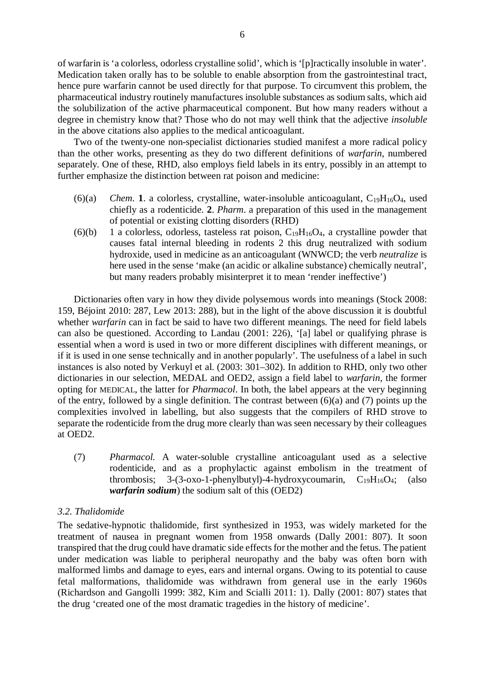of warfarin is 'a colorless, odorless crystalline solid', which is '[p]ractically insoluble in water'. Medication taken orally has to be soluble to enable absorption from the gastrointestinal tract, hence pure warfarin cannot be used directly for that purpose. To circumvent this problem, the pharmaceutical industry routinely manufactures insoluble substances as sodium salts, which aid the solubilization of the active pharmaceutical component. But how many readers without a degree in chemistry know that? Those who do not may well think that the adjective *insoluble* in the above citations also applies to the medical anticoagulant.

Two of the twenty-one non-specialist dictionaries studied manifest a more radical policy than the other works, presenting as they do two different definitions of *warfarin*, numbered separately. One of these, RHD, also employs field labels in its entry, possibly in an attempt to further emphasize the distinction between rat poison and medicine:

- (6)(a) *Chem.* **1**. a colorless, crystalline, water-insoluble anticoagulant,  $C_{19}H_{16}O_4$ , used chiefly as a rodenticide. **2**. *Pharm*. a preparation of this used in the management of potential or existing clotting disorders (RHD)
- (6)(b) 1 a colorless, odorless, tasteless rat poison,  $C_{19}H_{16}O_4$ , a crystalline powder that causes fatal internal bleeding in rodents 2 this drug neutralized with sodium hydroxide, used in medicine as an anticoagulant (WNWCD; the verb *neutralize* is here used in the sense 'make (an acidic or alkaline substance) chemically neutral', but many readers probably misinterpret it to mean 'render ineffective')

Dictionaries often vary in how they divide polysemous words into meanings (Stock 2008: 159, Béjoint 2010: 287, Lew 2013: 288), but in the light of the above discussion it is doubtful whether *warfarin* can in fact be said to have two different meanings. The need for field labels can also be questioned. According to Landau (2001: 226), '[a] label or qualifying phrase is essential when a word is used in two or more different disciplines with different meanings, or if it is used in one sense technically and in another popularly'. The usefulness of a label in such instances is also noted by Verkuyl et al. (2003: 301–302). In addition to RHD, only two other dictionaries in our selection, MEDAL and OED2, assign a field label to *warfarin*, the former opting for MEDICAL, the latter for *Pharmacol*. In both, the label appears at the very beginning of the entry, followed by a single definition. The contrast between (6)(a) and (7) points up the complexities involved in labelling, but also suggests that the compilers of RHD strove to separate the rodenticide from the drug more clearly than was seen necessary by their colleagues at OED2.

(7) *Pharmacol.* A water-soluble crystalline anticoagulant used as a selective rodenticide, and as a prophylactic against embolism in the treatment of thrombosis;  $3-(3-\alpha x - 1-\beta x)$  + hydroxy coumarin,  $C_{19}H_{16}O_4$ ; (also *warfarin sodium*) the sodium salt of this (OED2)

## *3.2. Thalidomide*

The sedative-hypnotic thalidomide, first synthesized in 1953, was widely marketed for the treatment of nausea in pregnant women from 1958 onwards (Dally 2001: 807). It soon transpired that the drug could have dramatic side effects for the mother and the fetus. The patient under medication was liable to peripheral neuropathy and the baby was often born with malformed limbs and damage to eyes, ears and internal organs. Owing to its potential to cause fetal malformations, thalidomide was withdrawn from general use in the early 1960s (Richardson and Gangolli 1999: 382, Kim and Scialli 2011: 1). Dally (2001: 807) states that the drug 'created one of the most dramatic tragedies in the history of medicine'.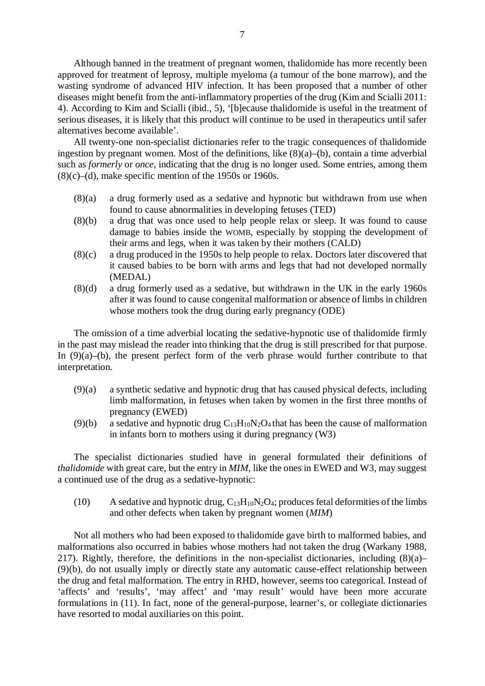Although banned in the treatment of pregnant women, thalidomide has more recently been approved for treatment of leprosy, multiple myeloma (a tumour of the bone marrow), and the wasting syndrome of advanced HIV infection. It has been proposed that a number of other diseases might benefit from the anti-inflammatory properties of the drug (Kim and Scialli 2011: 4). According to Kim and Scialli (ibid., 5), '[b]ecause thalidomide is useful in the treatment of serious diseases, it is likely that this product will continue to be used in therapeutics until safer alternatives become available'.

All twenty-one non-specialist dictionaries refer to the tragic consequences of thalidomide ingestion by pregnant women. Most of the definitions, like (8)(a)–(b), contain a time adverbial such as *formerly* or *once*, indicating that the drug is no longer used. Some entries, among them  $(8)(c)$ –(d), make specific mention of the 1950s or 1960s.

- (8)(a) a drug formerly used as a sedative and hypnotic but withdrawn from use when found to cause abnormalities in developing fetuses (TED)
- (8)(b) a drug that was once used to help people relax or sleep. It was found to cause damage to babies inside the WOMB, especially by stopping the development of their arms and legs, when it was taken by their mothers (CALD)
- (8)(c) a drug produced in the 1950s to help people to relax. Doctors later discovered that it caused babies to be born with arms and legs that had not developed normally (MEDAL)
- (8)(d) a drug formerly used as a sedative, but withdrawn in the UK in the early 1960s after it was found to cause congenital malformation or absence of limbs in children whose mothers took the drug during early pregnancy (ODE)

The omission of a time adverbial locating the sedative-hypnotic use of thalidomide firmly in the past may mislead the reader into thinking that the drug is still prescribed for that purpose. In (9)(a)–(b), the present perfect form of the verb phrase would further contribute to that interpretation.

- (9)(a) a synthetic sedative and hypnotic drug that has caused physical defects, including limb malformation, in fetuses when taken by women in the first three months of pregnancy (EWED)
- (9)(b) a sedative and hypnotic drug  $C_{13}H_{10}N_2O_4$  that has been the cause of malformation in infants born to mothers using it during pregnancy (W3)

The specialist dictionaries studied have in general formulated their definitions of *thalidomide* with great care, but the entry in *MIM*, like the ones in EWED and W3, may suggest a continued use of the drug as a sedative-hypnotic:

(10) A sedative and hypnotic drug,  $C_{13}H_{10}N_2O_4$ ; produces fetal deformities of the limbs and other defects when taken by pregnant women (*MIM*)

Not all mothers who had been exposed to thalidomide gave birth to malformed babies, and malformations also occurred in babies whose mothers had not taken the drug (Warkany 1988, 217). Rightly, therefore, the definitions in the non-specialist dictionaries, including  $(8)(a)$ – (9)(b), do not usually imply or directly state any automatic cause-effect relationship between the drug and fetal malformation. The entry in RHD, however, seems too categorical. Instead of 'affects' and 'results', 'may affect' and 'may result' would have been more accurate formulations in (11). In fact, none of the general-purpose, learner's, or collegiate dictionaries have resorted to modal auxiliaries on this point.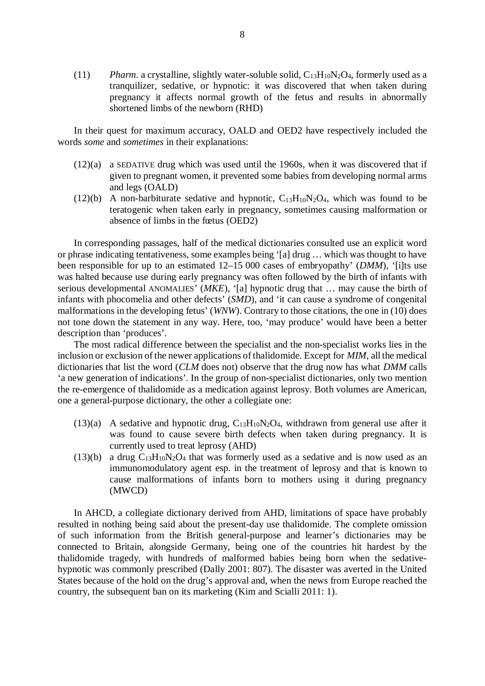(11) *Pharm.* a crystalline, slightly water-soluble solid,  $C_{13}H_{10}N_2O_4$ , formerly used as a tranquilizer, sedative, or hypnotic: it was discovered that when taken during pregnancy it affects normal growth of the fetus and results in abnormally shortened limbs of the newborn (RHD)

In their quest for maximum accuracy, OALD and OED2 have respectively included the words *some* and *sometimes* in their explanations:

- (12)(a) a SEDATIVE drug which was used until the 1960s, when it was discovered that if given to pregnant women, it prevented some babies from developing normal arms and legs (OALD)
- (12)(b) A non-barbiturate sedative and hypnotic,  $C_{13}H_{10}N_2O_4$ , which was found to be teratogenic when taken early in pregnancy, sometimes causing malformation or absence of limbs in the fœtus (OED2)

In corresponding passages, half of the medical dictionaries consulted use an explicit word or phrase indicating tentativeness, some examples being '[a] drug … which was thought to have been responsible for up to an estimated 12–15 000 cases of embryopathy' (*DMM*), '[i]ts use was halted because use during early pregnancy was often followed by the birth of infants with serious developmental ANOMALIES' (*MKE*), '[a] hypnotic drug that … may cause the birth of infants with phocomelia and other defects' (*SMD*), and 'it can cause a syndrome of congenital malformations in the developing fetus' (*WNW*). Contrary to those citations, the one in (10) does not tone down the statement in any way. Here, too, 'may produce' would have been a better description than 'produces'.

The most radical difference between the specialist and the non-specialist works lies in the inclusion or exclusion of the newer applications of thalidomide. Except for *MIM*, all the medical dictionaries that list the word (*CLM* does not) observe that the drug now has what *DMM* calls 'a new generation of indications'. In the group of non-specialist dictionaries, only two mention the re-emergence of thalidomide as a medication against leprosy. Both volumes are American, one a general-purpose dictionary, the other a collegiate one:

- (13)(a) A sedative and hypnotic drug,  $C_{13}H_{10}N_2O_4$ , withdrawn from general use after it was found to cause severe birth defects when taken during pregnancy. It is currently used to treat leprosy (AHD)
- (13)(b) a drug  $C_{13}H_{10}N_2O_4$  that was formerly used as a sedative and is now used as an immunomodulatory agent esp. in the treatment of leprosy and that is known to cause malformations of infants born to mothers using it during pregnancy (MWCD)

In AHCD, a collegiate dictionary derived from AHD, limitations of space have probably resulted in nothing being said about the present-day use thalidomide. The complete omission of such information from the British general-purpose and learner's dictionaries may be connected to Britain, alongside Germany, being one of the countries hit hardest by the thalidomide tragedy, with hundreds of malformed babies being born when the sedativehypnotic was commonly prescribed (Dally 2001: 807). The disaster was averted in the United States because of the hold on the drug's approval and, when the news from Europe reached the country, the subsequent ban on its marketing (Kim and Scialli 2011: 1).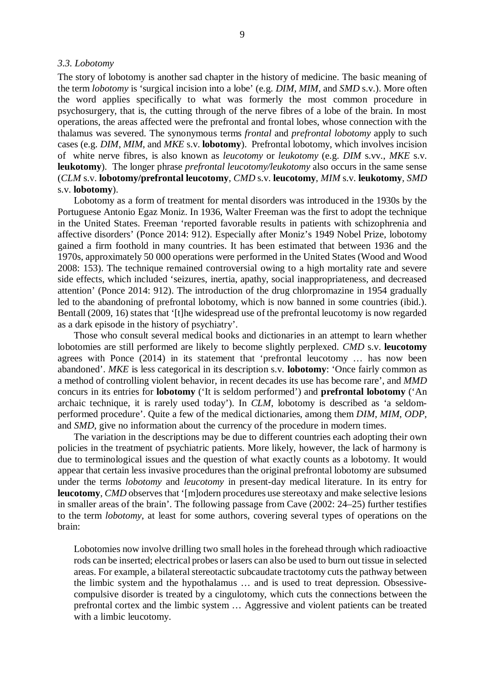#### *3.3. Lobotomy*

The story of lobotomy is another sad chapter in the history of medicine. The basic meaning of the term *lobotomy* is 'surgical incision into a lobe' (e.g. *DIM*, *MIM*, and *SMD* s.v.). More often the word applies specifically to what was formerly the most common procedure in psychosurgery, that is, the cutting through of the nerve fibres of a lobe of the brain. In most operations, the areas affected were the prefrontal and frontal lobes, whose connection with the thalamus was severed. The synonymous terms *frontal* and *prefrontal lobotomy* apply to such cases (e.g. *DIM*, *MIM*, and *MKE* s.v. **lobotomy**). Prefrontal lobotomy, which involves incision of white nerve fibres, is also known as *leucotomy* or *leukotomy* (e.g. *DIM* s.vv., *MKE* s.v. **leukotomy**). The longer phrase *prefrontal leucotomy/leukotomy* also occurs in the same sense (*CLM* s.v. **lobotomy/prefrontal leucotomy**, *CMD* s.v. **leucotomy**, *MIM* s.v. **leukotomy**, *SMD* s.v. **lobotomy**).

Lobotomy as a form of treatment for mental disorders was introduced in the 1930s by the Portuguese Antonio Egaz Moniz. In 1936, Walter Freeman was the first to adopt the technique in the United States. Freeman 'reported favorable results in patients with schizophrenia and affective disorders' (Ponce 2014: 912). Especially after Moniz's 1949 Nobel Prize, lobotomy gained a firm foothold in many countries. It has been estimated that between 1936 and the 1970s, approximately 50 000 operations were performed in the United States (Wood and Wood 2008: 153). The technique remained controversial owing to a high mortality rate and severe side effects, which included 'seizures, inertia, apathy, social inappropriateness, and decreased attention' (Ponce 2014: 912). The introduction of the drug chlorpromazine in 1954 gradually led to the abandoning of prefrontal lobotomy, which is now banned in some countries (ibid.). Bentall (2009, 16) states that '[t]he widespread use of the prefrontal leucotomy is now regarded as a dark episode in the history of psychiatry'.

Those who consult several medical books and dictionaries in an attempt to learn whether lobotomies are still performed are likely to become slightly perplexed. *CMD* s.v. **leucotomy**  agrees with Ponce (2014) in its statement that 'prefrontal leucotomy … has now been abandoned'. *MKE* is less categorical in its description s.v. **lobotomy**: 'Once fairly common as a method of controlling violent behavior, in recent decades its use has become rare', and *MMD* concurs in its entries for **lobotomy** ('It is seldom performed') and **prefrontal lobotomy** ('An archaic technique, it is rarely used today'). In *CLM*, lobotomy is described as 'a seldomperformed procedure'. Quite a few of the medical dictionaries, among them *DIM*, *MIM*, *ODP*, and *SMD*, give no information about the currency of the procedure in modern times.

The variation in the descriptions may be due to different countries each adopting their own policies in the treatment of psychiatric patients. More likely, however, the lack of harmony is due to terminological issues and the question of what exactly counts as a lobotomy. It would appear that certain less invasive procedures than the original prefrontal lobotomy are subsumed under the terms *lobotomy* and *leucotomy* in present-day medical literature. In its entry for **leucotomy**, *CMD* observes that '[m]odern procedures use stereotaxy and make selective lesions in smaller areas of the brain'. The following passage from Cave (2002: 24–25) further testifies to the term *lobotomy*, at least for some authors, covering several types of operations on the brain:

 Lobotomies now involve drilling two small holes in the forehead through which radioactive rods can be inserted; electrical probes or lasers can also be used to burn out tissue in selected areas. For example, a bilateral stereotactic subcaudate tractotomy cuts the pathway between the limbic system and the hypothalamus … and is used to treat depression. Obsessivecompulsive disorder is treated by a cingulotomy, which cuts the connections between the prefrontal cortex and the limbic system … Aggressive and violent patients can be treated with a limbic leucotomy.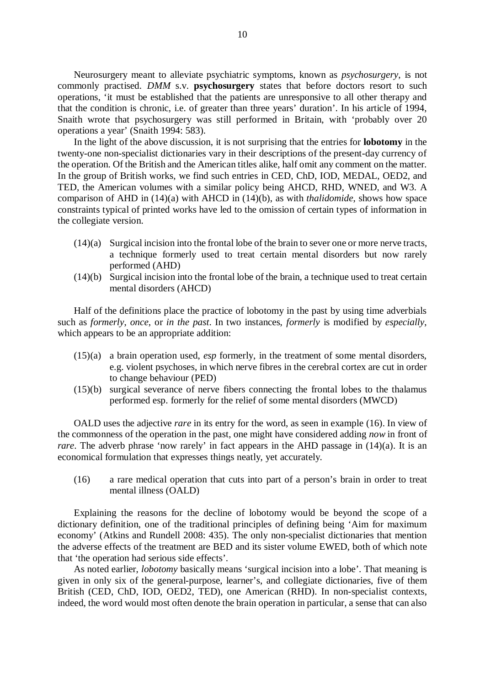Neurosurgery meant to alleviate psychiatric symptoms, known as *psychosurgery*, is not commonly practised. *DMM* s.v. **psychosurgery** states that before doctors resort to such operations, 'it must be established that the patients are unresponsive to all other therapy and that the condition is chronic, i.e. of greater than three years' duration'. In his article of 1994, Snaith wrote that psychosurgery was still performed in Britain, with 'probably over 20 operations a year' (Snaith 1994: 583).

In the light of the above discussion, it is not surprising that the entries for **lobotomy** in the twenty-one non-specialist dictionaries vary in their descriptions of the present-day currency of the operation. Of the British and the American titles alike, half omit any comment on the matter. In the group of British works, we find such entries in CED, ChD, IOD, MEDAL, OED2, and TED, the American volumes with a similar policy being AHCD, RHD, WNED, and W3. A comparison of AHD in (14)(a) with AHCD in (14)(b), as with *thalidomide*, shows how space constraints typical of printed works have led to the omission of certain types of information in the collegiate version.

- (14)(a) Surgical incision into the frontal lobe of the brain to sever one or more nerve tracts, a technique formerly used to treat certain mental disorders but now rarely performed (AHD)
- (14)(b) Surgical incision into the frontal lobe of the brain, a technique used to treat certain mental disorders (AHCD)

Half of the definitions place the practice of lobotomy in the past by using time adverbials such as *formerly*, *once*, or *in the past*. In two instances, *formerly* is modified by *especially*, which appears to be an appropriate addition:

- (15)(a) a brain operation used, *esp* formerly, in the treatment of some mental disorders, e.g. violent psychoses, in which nerve fibres in the cerebral cortex are cut in order to change behaviour (PED)
- (15)(b) surgical severance of nerve fibers connecting the frontal lobes to the thalamus performed esp. formerly for the relief of some mental disorders (MWCD)

OALD uses the adjective *rare* in its entry for the word, as seen in example (16). In view of the commonness of the operation in the past, one might have considered adding *now* in front of *rare*. The adverb phrase 'now rarely' in fact appears in the AHD passage in (14)(a). It is an economical formulation that expresses things neatly, yet accurately.

(16) a rare medical operation that cuts into part of a person's brain in order to treat mental illness (OALD)

Explaining the reasons for the decline of lobotomy would be beyond the scope of a dictionary definition, one of the traditional principles of defining being 'Aim for maximum economy' (Atkins and Rundell 2008: 435). The only non-specialist dictionaries that mention the adverse effects of the treatment are BED and its sister volume EWED, both of which note that 'the operation had serious side effects'.

As noted earlier, *lobotomy* basically means 'surgical incision into a lobe'. That meaning is given in only six of the general-purpose, learner's, and collegiate dictionaries, five of them British (CED, ChD, IOD, OED2, TED), one American (RHD). In non-specialist contexts, indeed, the word would most often denote the brain operation in particular, a sense that can also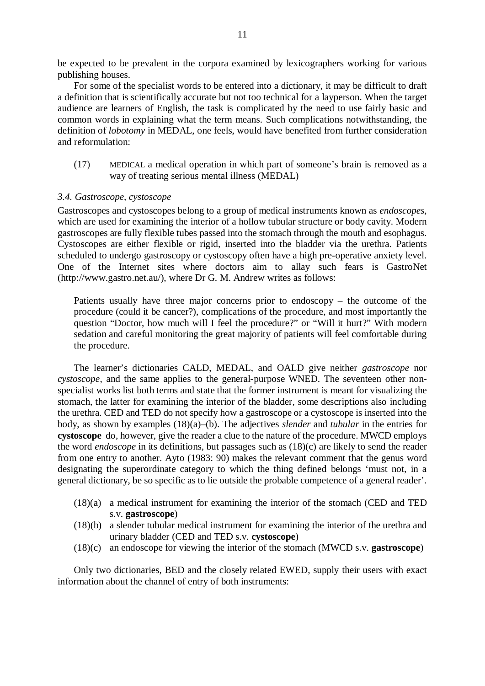be expected to be prevalent in the corpora examined by lexicographers working for various publishing houses.

For some of the specialist words to be entered into a dictionary, it may be difficult to draft a definition that is scientifically accurate but not too technical for a layperson. When the target audience are learners of English, the task is complicated by the need to use fairly basic and common words in explaining what the term means. Such complications notwithstanding, the definition of *lobotomy* in MEDAL, one feels, would have benefited from further consideration and reformulation:

(17) MEDICAL a medical operation in which part of someone's brain is removed as a way of treating serious mental illness (MEDAL)

#### *3.4. Gastroscope, cystoscope*

Gastroscopes and cystoscopes belong to a group of medical instruments known as *endoscopes*, which are used for examining the interior of a hollow tubular structure or body cavity. Modern gastroscopes are fully flexible tubes passed into the stomach through the mouth and esophagus. Cystoscopes are either flexible or rigid, inserted into the bladder via the urethra. Patients scheduled to undergo gastroscopy or cystoscopy often have a high pre-operative anxiety level. One of the Internet sites where doctors aim to allay such fears is GastroNet (http://www.gastro.net.au/), where Dr G. M. Andrew writes as follows:

 Patients usually have three major concerns prior to endoscopy – the outcome of the procedure (could it be cancer?), complications of the procedure, and most importantly the question "Doctor, how much will I feel the procedure?" or "Will it hurt?" With modern sedation and careful monitoring the great majority of patients will feel comfortable during the procedure.

The learner's dictionaries CALD, MEDAL, and OALD give neither *gastroscope* nor *cystoscope*, and the same applies to the general-purpose WNED. The seventeen other nonspecialist works list both terms and state that the former instrument is meant for visualizing the stomach, the latter for examining the interior of the bladder, some descriptions also including the urethra. CED and TED do not specify how a gastroscope or a cystoscope is inserted into the body, as shown by examples (18)(a)–(b). The adjectives *slender* and *tubular* in the entries for **cystoscope** do, however, give the reader a clue to the nature of the procedure. MWCD employs the word *endoscope* in its definitions, but passages such as (18)(c) are likely to send the reader from one entry to another. Ayto (1983: 90) makes the relevant comment that the genus word designating the superordinate category to which the thing defined belongs 'must not, in a general dictionary, be so specific as to lie outside the probable competence of a general reader'.

- (18)(a) a medical instrument for examining the interior of the stomach (CED and TED s.v. **gastroscope**)
- (18)(b) a slender tubular medical instrument for examining the interior of the urethra and urinary bladder (CED and TED s.v. **cystoscope**)
- (18)(c) an endoscope for viewing the interior of the stomach (MWCD s.v. **gastroscope**)

Only two dictionaries, BED and the closely related EWED, supply their users with exact information about the channel of entry of both instruments: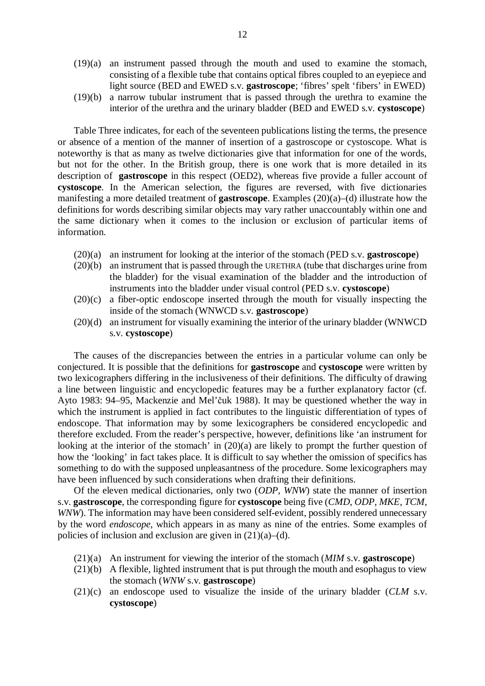- (19)(a) an instrument passed through the mouth and used to examine the stomach, consisting of a flexible tube that contains optical fibres coupled to an eyepiece and light source (BED and EWED s.v. **gastroscope**; 'fibres' spelt 'fibers' in EWED)
- (19)(b) a narrow tubular instrument that is passed through the urethra to examine the interior of the urethra and the urinary bladder (BED and EWED s.v. **cystoscope**)

Table Three indicates, for each of the seventeen publications listing the terms, the presence or absence of a mention of the manner of insertion of a gastroscope or cystoscope. What is noteworthy is that as many as twelve dictionaries give that information for one of the words, but not for the other. In the British group, there is one work that is more detailed in its description of **gastroscope** in this respect (OED2), whereas five provide a fuller account of **cystoscope**. In the American selection, the figures are reversed, with five dictionaries manifesting a more detailed treatment of **gastroscope**. Examples (20)(a)–(d) illustrate how the definitions for words describing similar objects may vary rather unaccountably within one and the same dictionary when it comes to the inclusion or exclusion of particular items of information.

- (20)(a) an instrument for looking at the interior of the stomach (PED s.v. **gastroscope**)
- (20)(b) an instrument that is passed through the URETHRA (tube that discharges urine from the bladder) for the visual examination of the bladder and the introduction of instruments into the bladder under visual control (PED s.v. **cystoscope**)
- (20)(c) a fiber-optic endoscope inserted through the mouth for visually inspecting the inside of the stomach (WNWCD s.v. **gastroscope**)
- (20)(d) an instrument for visually examining the interior of the urinary bladder (WNWCD s.v. **cystoscope**)

The causes of the discrepancies between the entries in a particular volume can only be conjectured. It is possible that the definitions for **gastroscope** and **cystoscope** were written by two lexicographers differing in the inclusiveness of their definitions. The difficulty of drawing a line between linguistic and encyclopedic features may be a further explanatory factor (cf. Ayto 1983: 94–95, Mackenzie and Mel'čuk 1988). It may be questioned whether the way in which the instrument is applied in fact contributes to the linguistic differentiation of types of endoscope. That information may by some lexicographers be considered encyclopedic and therefore excluded. From the reader's perspective, however, definitions like 'an instrument for looking at the interior of the stomach' in  $(20)(a)$  are likely to prompt the further question of how the 'looking' in fact takes place. It is difficult to say whether the omission of specifics has something to do with the supposed unpleasantness of the procedure. Some lexicographers may have been influenced by such considerations when drafting their definitions.

Of the eleven medical dictionaries, only two (*ODP*, *WNW*) state the manner of insertion s.v. **gastroscope**, the corresponding figure for **cystoscope** being five (*CMD*, *ODP*, *MKE*, *TCM*, *WNW*). The information may have been considered self-evident, possibly rendered unnecessary by the word *endoscope*, which appears in as many as nine of the entries. Some examples of policies of inclusion and exclusion are given in  $(21)(a)$ –(d).

- (21)(a) An instrument for viewing the interior of the stomach (*MIM* s.v. **gastroscope**)
- (21)(b) A flexible, lighted instrument that is put through the mouth and esophagus to view the stomach (*WNW* s.v. **gastroscope**)
- (21)(c) an endoscope used to visualize the inside of the urinary bladder (*CLM* s.v. **cystoscope**)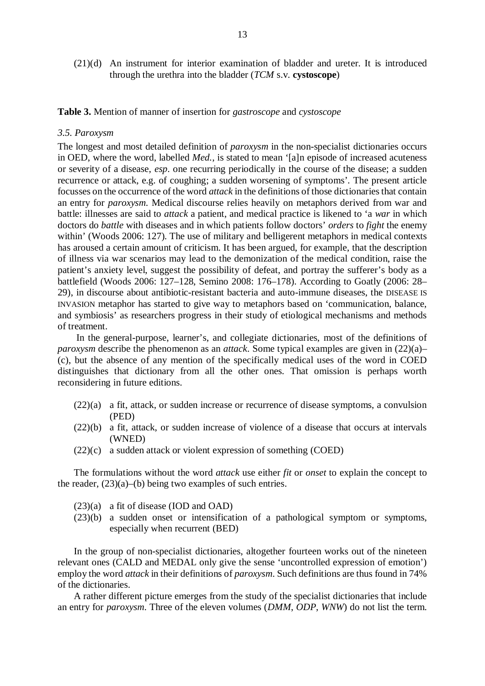(21)(d) An instrument for interior examination of bladder and ureter. It is introduced through the urethra into the bladder (*TCM* s.v. **cystoscope**)

**Table 3.** Mention of manner of insertion for *gastroscope* and *cystoscope*

#### *3.5. Paroxysm*

The longest and most detailed definition of *paroxysm* in the non-specialist dictionaries occurs in OED, where the word, labelled *Med.*, is stated to mean '[a]n episode of increased acuteness or severity of a disease, *esp*. one recurring periodically in the course of the disease; a sudden recurrence or attack, e.g. of coughing; a sudden worsening of symptoms'. The present article focusses on the occurrence of the word *attack* in the definitions of those dictionaries that contain an entry for *paroxysm*. Medical discourse relies heavily on metaphors derived from war and battle: illnesses are said to *attack* a patient, and medical practice is likened to 'a *war* in which doctors do *battle* with diseases and in which patients follow doctors' *orders* to *fight* the enemy within' (Woods 2006: 127). The use of military and belligerent metaphors in medical contexts has aroused a certain amount of criticism. It has been argued, for example, that the description of illness via war scenarios may lead to the demonization of the medical condition, raise the patient's anxiety level, suggest the possibility of defeat, and portray the sufferer's body as a battlefield (Woods 2006: 127–128, Semino 2008: 176–178). According to Goatly (2006: 28– 29), in discourse about antibiotic-resistant bacteria and auto-immune diseases, the DISEASE IS INVASION metaphor has started to give way to metaphors based on 'communication, balance, and symbiosis' as researchers progress in their study of etiological mechanisms and methods of treatment.

 In the general-purpose, learner's, and collegiate dictionaries, most of the definitions of *paroxysm* describe the phenomenon as an *attack*. Some typical examples are given in (22)(a)– (c), but the absence of any mention of the specifically medical uses of the word in COED distinguishes that dictionary from all the other ones. That omission is perhaps worth reconsidering in future editions.

- (22)(a) a fit, attack, or sudden increase or recurrence of disease symptoms, a convulsion (PED)
- $(22)(b)$  a fit, attack, or sudden increase of violence of a disease that occurs at intervals (WNED)
- (22)(c) a sudden attack or violent expression of something (COED)

The formulations without the word *attack* use either *fit* or *onset* to explain the concept to the reader,  $(23)(a)$ –(b) being two examples of such entries.

- (23)(a) a fit of disease (IOD and OAD)
- (23)(b) a sudden onset or intensification of a pathological symptom or symptoms, especially when recurrent (BED)

In the group of non-specialist dictionaries, altogether fourteen works out of the nineteen relevant ones (CALD and MEDAL only give the sense 'uncontrolled expression of emotion') employ the word *attack* in their definitions of *paroxysm*. Such definitions are thus found in 74% of the dictionaries.

A rather different picture emerges from the study of the specialist dictionaries that include an entry for *paroxysm*. Three of the eleven volumes (*DMM*, *ODP*, *WNW*) do not list the term.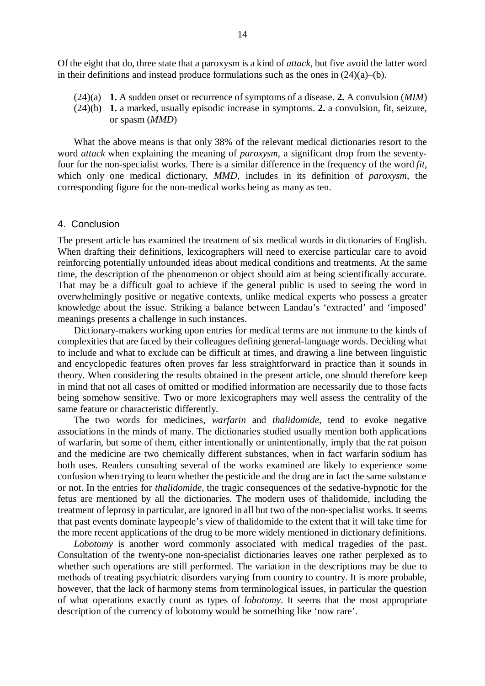Of the eight that do, three state that a paroxysm is a kind of *attack*, but five avoid the latter word in their definitions and instead produce formulations such as the ones in  $(24)(a)$ –(b).

- (24)(a) **1.** A sudden onset or recurrence of symptoms of a disease. **2.** A convulsion (*MIM*)
- (24)(b) **1.** a marked, usually episodic increase in symptoms. **2.** a convulsion, fit, seizure, or spasm (*MMD*)

What the above means is that only 38% of the relevant medical dictionaries resort to the word *attack* when explaining the meaning of *paroxysm*, a significant drop from the seventyfour for the non-specialist works. There is a similar difference in the frequency of the word *fit*, which only one medical dictionary, *MMD*, includes in its definition of *paroxysm*, the corresponding figure for the non-medical works being as many as ten.

#### 4. Conclusion

The present article has examined the treatment of six medical words in dictionaries of English. When drafting their definitions, lexicographers will need to exercise particular care to avoid reinforcing potentially unfounded ideas about medical conditions and treatments. At the same time, the description of the phenomenon or object should aim at being scientifically accurate. That may be a difficult goal to achieve if the general public is used to seeing the word in overwhelmingly positive or negative contexts, unlike medical experts who possess a greater knowledge about the issue. Striking a balance between Landau's 'extracted' and 'imposed' meanings presents a challenge in such instances.

Dictionary-makers working upon entries for medical terms are not immune to the kinds of complexities that are faced by their colleagues defining general-language words. Deciding what to include and what to exclude can be difficult at times, and drawing a line between linguistic and encyclopedic features often proves far less straightforward in practice than it sounds in theory. When considering the results obtained in the present article, one should therefore keep in mind that not all cases of omitted or modified information are necessarily due to those facts being somehow sensitive. Two or more lexicographers may well assess the centrality of the same feature or characteristic differently.

The two words for medicines, *warfarin* and *thalidomide*, tend to evoke negative associations in the minds of many. The dictionaries studied usually mention both applications of warfarin, but some of them, either intentionally or unintentionally, imply that the rat poison and the medicine are two chemically different substances, when in fact warfarin sodium has both uses. Readers consulting several of the works examined are likely to experience some confusion when trying to learn whether the pesticide and the drug are in fact the same substance or not. In the entries for *thalidomide*, the tragic consequences of the sedative-hypnotic for the fetus are mentioned by all the dictionaries. The modern uses of thalidomide, including the treatment of leprosy in particular, are ignored in all but two of the non-specialist works. It seems that past events dominate laypeople's view of thalidomide to the extent that it will take time for the more recent applications of the drug to be more widely mentioned in dictionary definitions.

*Lobotomy* is another word commonly associated with medical tragedies of the past. Consultation of the twenty-one non-specialist dictionaries leaves one rather perplexed as to whether such operations are still performed. The variation in the descriptions may be due to methods of treating psychiatric disorders varying from country to country. It is more probable, however, that the lack of harmony stems from terminological issues, in particular the question of what operations exactly count as types of *lobotomy*. It seems that the most appropriate description of the currency of lobotomy would be something like 'now rare'.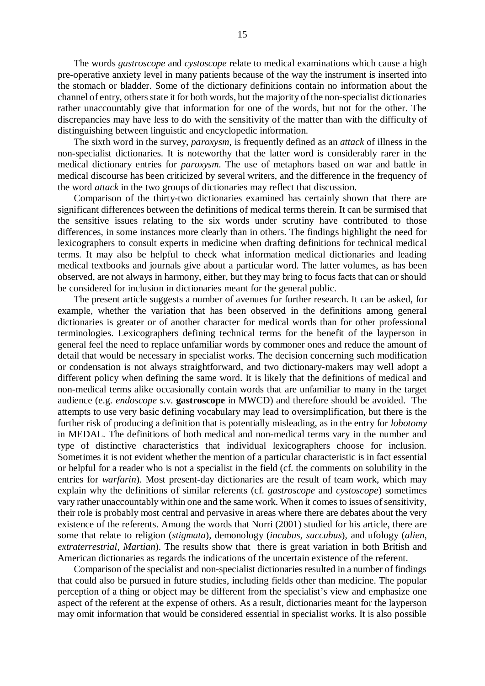The words *gastroscope* and *cystoscope* relate to medical examinations which cause a high pre-operative anxiety level in many patients because of the way the instrument is inserted into the stomach or bladder. Some of the dictionary definitions contain no information about the channel of entry, others state it for both words, but the majority of the non-specialist dictionaries rather unaccountably give that information for one of the words, but not for the other. The discrepancies may have less to do with the sensitivity of the matter than with the difficulty of distinguishing between linguistic and encyclopedic information.

The sixth word in the survey, *paroxysm*, is frequently defined as an *attack* of illness in the non-specialist dictionaries. It is noteworthy that the latter word is considerably rarer in the medical dictionary entries for *paroxysm*. The use of metaphors based on war and battle in medical discourse has been criticized by several writers, and the difference in the frequency of the word *attack* in the two groups of dictionaries may reflect that discussion.

Comparison of the thirty-two dictionaries examined has certainly shown that there are significant differences between the definitions of medical terms therein. It can be surmised that the sensitive issues relating to the six words under scrutiny have contributed to those differences, in some instances more clearly than in others. The findings highlight the need for lexicographers to consult experts in medicine when drafting definitions for technical medical terms. It may also be helpful to check what information medical dictionaries and leading medical textbooks and journals give about a particular word. The latter volumes, as has been observed, are not always in harmony, either, but they may bring to focus facts that can or should be considered for inclusion in dictionaries meant for the general public.

The present article suggests a number of avenues for further research. It can be asked, for example, whether the variation that has been observed in the definitions among general dictionaries is greater or of another character for medical words than for other professional terminologies. Lexicographers defining technical terms for the benefit of the layperson in general feel the need to replace unfamiliar words by commoner ones and reduce the amount of detail that would be necessary in specialist works. The decision concerning such modification or condensation is not always straightforward, and two dictionary-makers may well adopt a different policy when defining the same word. It is likely that the definitions of medical and non-medical terms alike occasionally contain words that are unfamiliar to many in the target audience (e.g. *endoscope* s.v. **gastroscope** in MWCD) and therefore should be avoided. The attempts to use very basic defining vocabulary may lead to oversimplification, but there is the further risk of producing a definition that is potentially misleading, as in the entry for *lobotomy* in MEDAL. The definitions of both medical and non-medical terms vary in the number and type of distinctive characteristics that individual lexicographers choose for inclusion. Sometimes it is not evident whether the mention of a particular characteristic is in fact essential or helpful for a reader who is not a specialist in the field (cf. the comments on solubility in the entries for *warfarin*). Most present-day dictionaries are the result of team work, which may explain why the definitions of similar referents (cf. *gastroscope* and *cystoscope*) sometimes vary rather unaccountably within one and the same work. When it comes to issues of sensitivity, their role is probably most central and pervasive in areas where there are debates about the very existence of the referents. Among the words that Norri (2001) studied for his article, there are some that relate to religion (*stigmata*), demonology (*incubus*, *succubus*), and ufology (*alien*, *extraterrestrial*, *Martian*). The results show that there is great variation in both British and American dictionaries as regards the indications of the uncertain existence of the referent.

Comparison of the specialist and non-specialist dictionaries resulted in a number of findings that could also be pursued in future studies, including fields other than medicine. The popular perception of a thing or object may be different from the specialist's view and emphasize one aspect of the referent at the expense of others. As a result, dictionaries meant for the layperson may omit information that would be considered essential in specialist works. It is also possible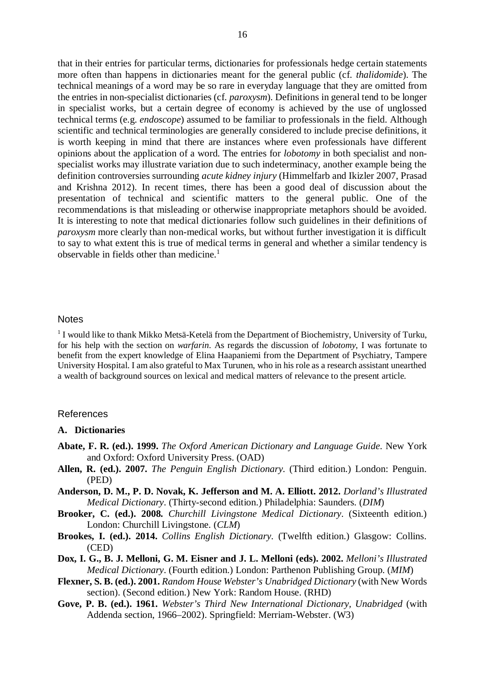that in their entries for particular terms, dictionaries for professionals hedge certain statements more often than happens in dictionaries meant for the general public (cf. *thalidomide*). The technical meanings of a word may be so rare in everyday language that they are omitted from the entries in non-specialist dictionaries (cf. *paroxysm*). Definitions in general tend to be longer in specialist works, but a certain degree of economy is achieved by the use of unglossed technical terms (e.g. *endoscope*) assumed to be familiar to professionals in the field. Although scientific and technical terminologies are generally considered to include precise definitions, it is worth keeping in mind that there are instances where even professionals have different opinions about the application of a word. The entries for *lobotomy* in both specialist and nonspecialist works may illustrate variation due to such indeterminacy, another example being the definition controversies surrounding *acute kidney injury* (Himmelfarb and Ikizler 2007, Prasad and Krishna 2012). In recent times, there has been a good deal of discussion about the presentation of technical and scientific matters to the general public. One of the recommendations is that misleading or otherwise inappropriate metaphors should be avoided. It is interesting to note that medical dictionaries follow such guidelines in their definitions of *paroxysm* more clearly than non-medical works, but without further investigation it is difficult to say to what extent this is true of medical terms in general and whether a similar tendency is observable in fields other than medicine.<sup>1</sup>

## **Notes**

<sup>1</sup> I would like to thank Mikko Metsä-Ketelä from the Department of Biochemistry, University of Turku, for his help with the section on *warfarin*. As regards the discussion of *lobotomy*, I was fortunate to benefit from the expert knowledge of Elina Haapaniemi from the Department of Psychiatry, Tampere University Hospital. I am also grateful to Max Turunen, who in his role as a research assistant unearthed a wealth of background sources on lexical and medical matters of relevance to the present article.

#### References

#### **A. Dictionaries**

- **Abate, F. R. (ed.). 1999.** *The Oxford American Dictionary and Language Guide*. New York and Oxford: Oxford University Press. (OAD)
- **Allen, R. (ed.). 2007.** *The Penguin English Dictionary*. (Third edition.) London: Penguin. (PED)
- **Anderson, D. M., P. D. Novak, K. Jefferson and M. A. Elliott. 2012.** *Dorland's Illustrated Medical Dictionary*. (Thirty-second edition.) Philadelphia: Saunders. (*DIM*)
- **Brooker, C. (ed.). 2008.** *Churchill Livingstone Medical Dictionary*. (Sixteenth edition.) London: Churchill Livingstone. (*CLM*)
- **Brookes, I. (ed.). 2014.** *Collins English Dictionary*. (Twelfth edition.) Glasgow: Collins. (CED)
- **Dox, I. G., B. J. Melloni, G. M. Eisner and J. L. Melloni (eds). 2002.** *Melloni's Illustrated Medical Dictionary*. (Fourth edition.) London: Parthenon Publishing Group. (*MIM*)
- **Flexner, S. B. (ed.). 2001.** *Random House Webster's Unabridged Dictionary* (with New Words section). (Second edition.) New York: Random House. (RHD)
- **Gove, P. B. (ed.). 1961.** *Webster's Third New International Dictionary, Unabridged* (with Addenda section, 1966–2002). Springfield: Merriam-Webster. (W3)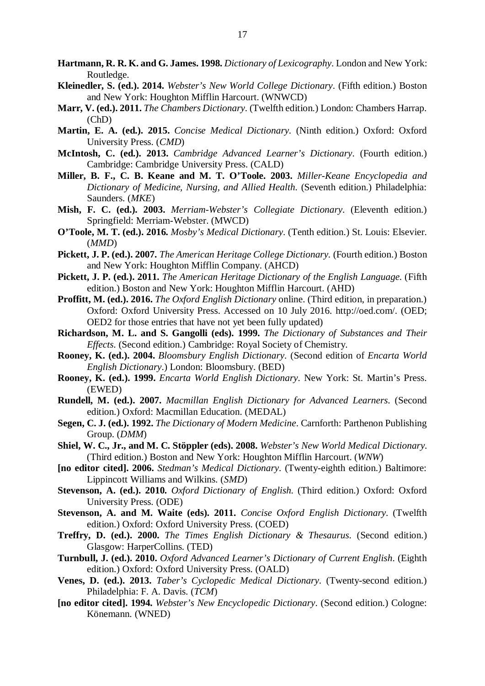- **Hartmann, R. R. K. and G. James. 1998.** *Dictionary of Lexicography*. London and New York: Routledge.
- **Kleinedler, S. (ed.). 2014.** *Webster's New World College Dictionary*. (Fifth edition.) Boston and New York: Houghton Mifflin Harcourt. (WNWCD)
- **Marr, V. (ed.). 2011.** *The Chambers Dictionary*. (Twelfth edition.) London: Chambers Harrap. (ChD)
- **Martin, E. A. (ed.). 2015.** *Concise Medical Dictionary*. (Ninth edition.) Oxford: Oxford University Press. (*CMD*)
- **McIntosh, C. (ed.). 2013.** *Cambridge Advanced Learner's Dictionary*. (Fourth edition.) Cambridge: Cambridge University Press. (CALD)
- **Miller, B. F., C. B. Keane and M. T. O'Toole. 2003.** *Miller-Keane Encyclopedia and Dictionary of Medicine, Nursing, and Allied Health*. (Seventh edition.) Philadelphia: Saunders. (*MKE*)
- **Mish, F. C. (ed.). 2003.** *Merriam-Webster's Collegiate Dictionary*. (Eleventh edition.) Springfield: Merriam-Webster. (MWCD)
- **O'Toole, M. T. (ed.). 2016.** *Mosby's Medical Dictionary*. (Tenth edition.) St. Louis: Elsevier. (*MMD*)
- **Pickett, J. P. (ed.). 2007.** *The American Heritage College Dictionary*. (Fourth edition.) Boston and New York: Houghton Mifflin Company. (AHCD)
- **Pickett, J. P. (ed.). 2011.** *The American Heritage Dictionary of the English Language*. (Fifth edition.) Boston and New York: Houghton Mifflin Harcourt. (AHD)
- **Proffitt, M. (ed.). 2016.** *The Oxford English Dictionary* online. (Third edition, in preparation.) Oxford: Oxford University Press. Accessed on 10 July 2016. http://oed.com/. (OED; OED2 for those entries that have not yet been fully updated)
- **Richardson, M. L. and S. Gangolli (eds). 1999.** *The Dictionary of Substances and Their Effects*. (Second edition.) Cambridge: Royal Society of Chemistry.
- **Rooney, K. (ed.). 2004.** *Bloomsbury English Dictionary*. (Second edition of *Encarta World English Dictionary*.) London: Bloomsbury. (BED)
- **Rooney, K. (ed.). 1999.** *Encarta World English Dictionary*. New York: St. Martin's Press. (EWED)
- **Rundell, M. (ed.). 2007.** *Macmillan English Dictionary for Advanced Learners*. (Second edition.) Oxford: Macmillan Education. (MEDAL)
- **Segen, C. J. (ed.). 1992.** *The Dictionary of Modern Medicine*. Carnforth: Parthenon Publishing Group. (*DMM*)
- **Shiel, W. C., Jr., and M. C. Stöppler (eds). 2008.** *Webster's New World Medical Dictionary*. (Third edition.) Boston and New York: Houghton Mifflin Harcourt. (*WNW*)
- **[no editor cited]. 2006.** *Stedman's Medical Dictionary*. (Twenty-eighth edition.) Baltimore: Lippincott Williams and Wilkins. (*SMD*)
- **Stevenson, A. (ed.). 2010.** *Oxford Dictionary of English*. (Third edition.) Oxford: Oxford University Press. (ODE)
- **Stevenson, A. and M. Waite (eds). 2011.** *Concise Oxford English Dictionary*. (Twelfth edition.) Oxford: Oxford University Press. (COED)
- **Treffry, D. (ed.). 2000.** *The Times English Dictionary & Thesaurus*. (Second edition.) Glasgow: HarperCollins. (TED)
- **Turnbull, J. (ed.). 2010.** *Oxford Advanced Learner's Dictionary of Current English*. (Eighth edition.) Oxford: Oxford University Press. (OALD)
- **Venes, D. (ed.). 2013.** *Taber's Cyclopedic Medical Dictionary*. (Twenty-second edition.) Philadelphia: F. A. Davis. (*TCM*)
- **[no editor cited]. 1994.** *Webster's New Encyclopedic Dictionary*. (Second edition.) Cologne: Könemann. (WNED)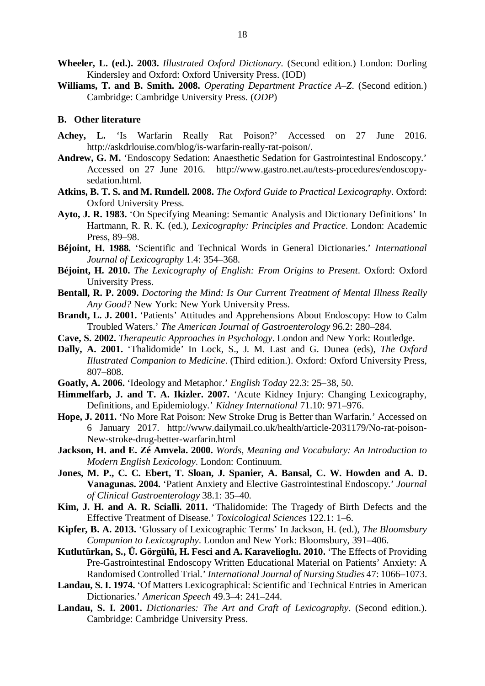- **Wheeler, L. (ed.). 2003.** *Illustrated Oxford Dictionary*. (Second edition.) London: Dorling Kindersley and Oxford: Oxford University Press. (IOD)
- **Williams, T. and B. Smith. 2008.** *Operating Department Practice A–Z*. (Second edition.) Cambridge: Cambridge University Press. (*ODP*)

### **B. Other literature**

- **Achey, L.** 'Is Warfarin Really Rat Poison?' Accessed on 27 June 2016. http://askdrlouise.com/blog/is-warfarin-really-rat-poison/.
- **Andrew, G. M.** 'Endoscopy Sedation: Anaesthetic Sedation for Gastrointestinal Endoscopy.' Accessed on 27 June 2016. http://www.gastro.net.au/tests-procedures/endoscopysedation.html.
- **Atkins, B. T. S. and M. Rundell. 2008.** *The Oxford Guide to Practical Lexicography*. Oxford: Oxford University Press.
- **Ayto, J. R. 1983.** 'On Specifying Meaning: Semantic Analysis and Dictionary Definitions' In Hartmann, R. R. K. (ed.), *Lexicography: Principles and Practice*. London: Academic Press, 89–98.
- **Béjoint, H. 1988.** 'Scientific and Technical Words in General Dictionaries.' *International Journal of Lexicography* 1.4: 354–368.
- **Béjoint, H. 2010.** *The Lexicography of English: From Origins to Present*. Oxford: Oxford University Press.
- **Bentall, R. P. 2009.** *Doctoring the Mind: Is Our Current Treatment of Mental Illness Really Any Good?* New York: New York University Press.
- **Brandt, L. J. 2001.** 'Patients' Attitudes and Apprehensions About Endoscopy: How to Calm Troubled Waters.' *The American Journal of Gastroenterology* 96.2: 280–284.
- **Cave, S. 2002.** *Therapeutic Approaches in Psychology*. London and New York: Routledge.
- **Dally, A. 2001.** 'Thalidomide' In Lock, S., J. M. Last and G. Dunea (eds), *The Oxford Illustrated Companion to Medicine*. (Third edition.). Oxford: Oxford University Press, 807–808.
- **Goatly, A. 2006.** 'Ideology and Metaphor.' *English Today* 22.3: 25–38, 50.
- **Himmelfarb, J. and T. A. Ikizler. 2007.** 'Acute Kidney Injury: Changing Lexicography, Definitions, and Epidemiology.' *Kidney International* 71.10: 971–976.
- **Hope, J. 2011.** 'No More Rat Poison: New Stroke Drug is Better than Warfarin.' Accessed on 6 January 2017. http://www.dailymail.co.uk/health/article-2031179/No-rat-poison-New-stroke-drug-better-warfarin.html
- **Jackson, H. and E. Zé Amvela. 2000.** *Words, Meaning and Vocabulary: An Introduction to Modern English Lexicology*. London: Continuum.
- **Jones, M. P., C. C. Ebert, T. Sloan, J. Spanier, A. Bansal, C. W. Howden and A. D. Vanagunas. 2004.** 'Patient Anxiety and Elective Gastrointestinal Endoscopy.' *Journal of Clinical Gastroenterology* 38.1: 35–40.
- **Kim, J. H. and A. R. Scialli. 2011.** 'Thalidomide: The Tragedy of Birth Defects and the Effective Treatment of Disease.' *Toxicological Sciences* 122.1: 1–6.
- **Kipfer, B. A. 2013.** 'Glossary of Lexicographic Terms' In Jackson, H. (ed.), *The Bloomsbury Companion to Lexicography*. London and New York: Bloomsbury, 391–406.
- **Kutlutürkan, S., Ü. Görgülü, H. Fesci and A. Karavelioglu. 2010.** 'The Effects of Providing Pre-Gastrointestinal Endoscopy Written Educational Material on Patients' Anxiety: A Randomised Controlled Trial.' *International Journal of Nursing Studies* 47: 1066–1073.
- **Landau, S. I. 1974.** 'Of Matters Lexicographical: Scientific and Technical Entries in American Dictionaries.' *American Speech* 49.3–4: 241–244.
- **Landau, S. I. 2001.** *Dictionaries: The Art and Craft of Lexicography*. (Second edition.). Cambridge: Cambridge University Press.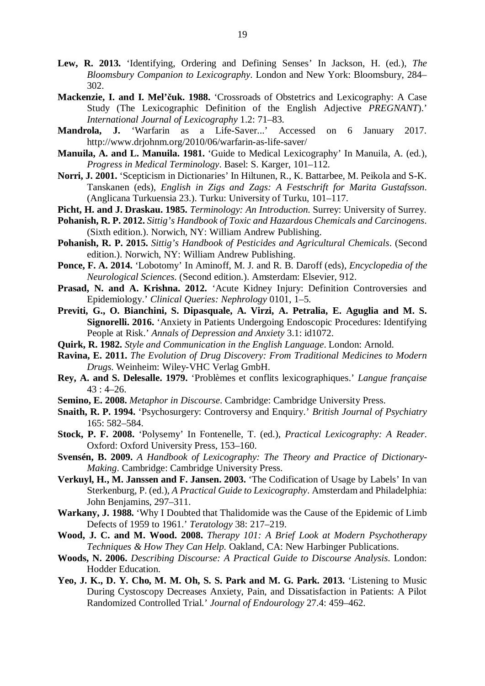- **Lew, R. 2013.** 'Identifying, Ordering and Defining Senses' In Jackson, H. (ed.), *The Bloomsbury Companion to Lexicography*. London and New York: Bloomsbury, 284– 302.
- Mackenzie, I. and I. Mel'čuk. 1988. 'Crossroads of Obstetrics and Lexicography: A Case Study (The Lexicographic Definition of the English Adjective *PREGNANT*).' *International Journal of Lexicography* 1.2: 71–83.
- **Mandrola, J.** 'Warfarin as a Life-Saver...' Accessed on 6 January 2017. http://www.drjohnm.org/2010/06/warfarin-as-life-saver/
- **Manuila, A. and L. Manuila. 1981.** 'Guide to Medical Lexicography' In Manuila, A. (ed.), *Progress in Medical Terminology*. Basel: S. Karger, 101–112.
- **Norri, J. 2001.** 'Scepticism in Dictionaries' In Hiltunen, R., K. Battarbee, M. Peikola and S-K. Tanskanen (eds), *English in Zigs and Zags: A Festschrift for Marita Gustafsson*. (Anglicana Turkuensia 23.). Turku: University of Turku, 101–117.
- **Picht, H. and J. Draskau. 1985.** *Terminology: An Introduction*. Surrey: University of Surrey.
- **Pohanish, R. P. 2012.** *Sittig's Handbook of Toxic and Hazardous Chemicals and Carcinogens*. (Sixth edition.). Norwich, NY: William Andrew Publishing.
- **Pohanish, R. P. 2015.** *Sittig's Handbook of Pesticides and Agricultural Chemicals*. (Second edition.). Norwich, NY: William Andrew Publishing.
- **Ponce, F. A. 2014.** 'Lobotomy' In Aminoff, M. J. and R. B. Daroff (eds), *Encyclopedia of the Neurological Sciences*. (Second edition.). Amsterdam: Elsevier, 912.
- **Prasad, N. and A. Krishna. 2012.** 'Acute Kidney Injury: Definition Controversies and Epidemiology.' *Clinical Queries: Nephrology* 0101, 1–5.
- **Previti, G., O. Bianchini, S. Dipasquale, A. Virzi, A. Petralia, E. Aguglia and M. S. Signorelli. 2016.** 'Anxiety in Patients Undergoing Endoscopic Procedures: Identifying People at Risk.' *Annals of Depression and Anxiety* 3.1: id1072.
- **Quirk, R. 1982.** *Style and Communication in the English Language*. London: Arnold.
- **Ravina, E. 2011.** *The Evolution of Drug Discovery: From Traditional Medicines to Modern Drugs*. Weinheim: Wiley-VHC Verlag GmbH.
- **Rey, A. and S. Delesalle. 1979.** 'Problèmes et conflits lexicographiques.' *Langue française*  $43:4-26.$
- **Semino, E. 2008.** *Metaphor in Discourse*. Cambridge: Cambridge University Press.
- **Snaith, R. P. 1994.** 'Psychosurgery: Controversy and Enquiry.' *British Journal of Psychiatry* 165: 582–584.
- **Stock, P. F. 2008.** 'Polysemy' In Fontenelle, T. (ed.), *Practical Lexicography: A Reader*. Oxford: Oxford University Press, 153–160.
- **Svensén, B. 2009.** *A Handbook of Lexicography: The Theory and Practice of Dictionary-Making*. Cambridge: Cambridge University Press.
- **Verkuyl, H., M. Janssen and F. Jansen. 2003.** 'The Codification of Usage by Labels' In van Sterkenburg, P. (ed.), *A Practical Guide to Lexicography*. Amsterdam and Philadelphia: John Benjamins, 297–311.
- **Warkany, J. 1988.** 'Why I Doubted that Thalidomide was the Cause of the Epidemic of Limb Defects of 1959 to 1961.' *Teratology* 38: 217–219.
- **Wood, J. C. and M. Wood. 2008.** *Therapy 101: A Brief Look at Modern Psychotherapy Techniques & How They Can Help.* Oakland, CA: New Harbinger Publications.
- **Woods, N. 2006.** *Describing Discourse: A Practical Guide to Discourse Analysis*. London: Hodder Education.
- **Yeo, J. K., D. Y. Cho, M. M. Oh, S. S. Park and M. G. Park. 2013.** 'Listening to Music During Cystoscopy Decreases Anxiety, Pain, and Dissatisfaction in Patients: A Pilot Randomized Controlled Trial.' *Journal of Endourology* 27.4: 459–462.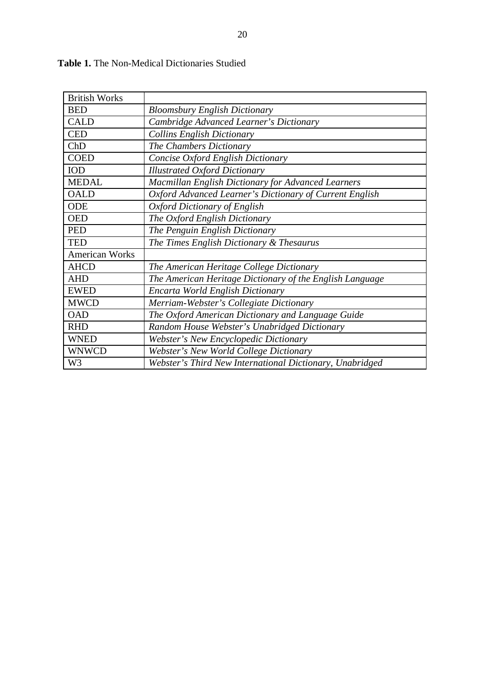| <b>British Works</b>  |                                                          |  |
|-----------------------|----------------------------------------------------------|--|
| <b>BED</b>            | <b>Bloomsbury English Dictionary</b>                     |  |
| <b>CALD</b>           | Cambridge Advanced Learner's Dictionary                  |  |
| <b>CED</b>            | <b>Collins English Dictionary</b>                        |  |
| ChD                   | The Chambers Dictionary                                  |  |
| <b>COED</b>           | Concise Oxford English Dictionary                        |  |
| <b>IOD</b>            | <b>Illustrated Oxford Dictionary</b>                     |  |
| <b>MEDAL</b>          | Macmillan English Dictionary for Advanced Learners       |  |
| <b>OALD</b>           | Oxford Advanced Learner's Dictionary of Current English  |  |
| <b>ODE</b>            | Oxford Dictionary of English                             |  |
| <b>OED</b>            | The Oxford English Dictionary                            |  |
| <b>PED</b>            | The Penguin English Dictionary                           |  |
| <b>TED</b>            | The Times English Dictionary & Thesaurus                 |  |
| <b>American Works</b> |                                                          |  |
| <b>AHCD</b>           | The American Heritage College Dictionary                 |  |
| <b>AHD</b>            | The American Heritage Dictionary of the English Language |  |
| <b>EWED</b>           | Encarta World English Dictionary                         |  |
| <b>MWCD</b>           | Merriam-Webster's Collegiate Dictionary                  |  |
| <b>OAD</b>            | The Oxford American Dictionary and Language Guide        |  |
| <b>RHD</b>            | Random House Webster's Unabridged Dictionary             |  |
| <b>WNED</b>           | Webster's New Encyclopedic Dictionary                    |  |
| <b>WNWCD</b>          | Webster's New World College Dictionary                   |  |
| W <sub>3</sub>        | Webster's Third New International Dictionary, Unabridged |  |

**Table 1.** The Non-Medical Dictionaries Studied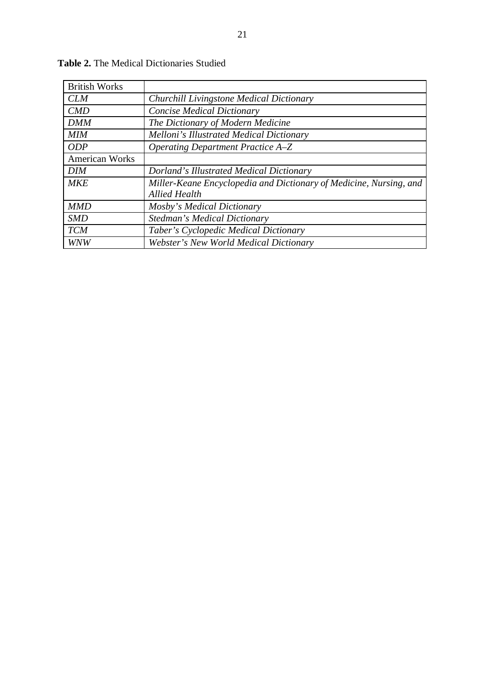| <b>British Works</b>  |                                                                    |  |
|-----------------------|--------------------------------------------------------------------|--|
| <b>CLM</b>            | Churchill Livingstone Medical Dictionary                           |  |
| CMD                   | Concise Medical Dictionary                                         |  |
| <b>DMM</b>            | The Dictionary of Modern Medicine                                  |  |
| <b>MIM</b>            | Melloni's Illustrated Medical Dictionary                           |  |
| <i>ODP</i>            | <b>Operating Department Practice A–Z</b>                           |  |
| <b>American Works</b> |                                                                    |  |
| <b>DIM</b>            | <b>Dorland's Illustrated Medical Dictionary</b>                    |  |
| <b>MKE</b>            | Miller-Keane Encyclopedia and Dictionary of Medicine, Nursing, and |  |
|                       | <b>Allied Health</b>                                               |  |
| <b>MMD</b>            | Mosby's Medical Dictionary                                         |  |
| <b>SMD</b>            | <b>Stedman's Medical Dictionary</b>                                |  |
| <b>TCM</b>            | Taber's Cyclopedic Medical Dictionary                              |  |
| <b>WNW</b>            | <b>Webster's New World Medical Dictionary</b>                      |  |

**Table 2.** The Medical Dictionaries Studied